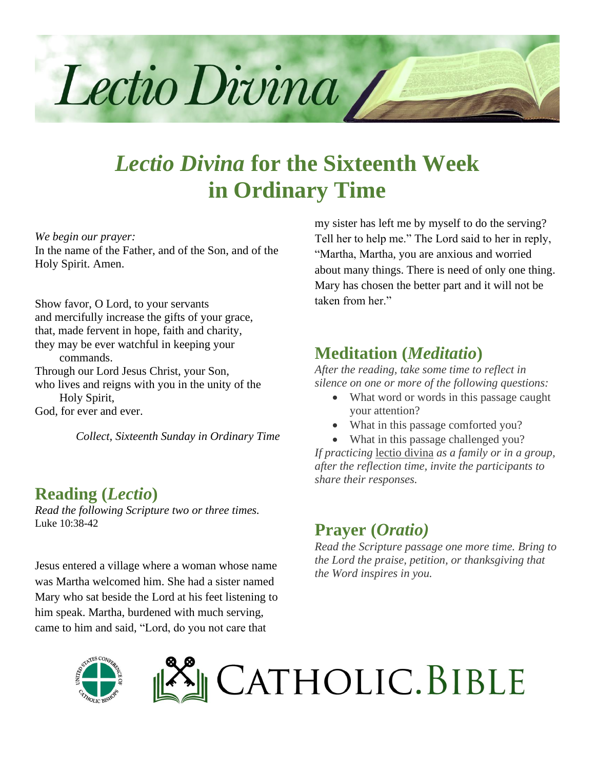

# *Lectio Divina* **for the Sixteenth Week in Ordinary Time**

*We begin our prayer:*

In the name of the Father, and of the Son, and of the Holy Spirit. Amen.

Show favor, O Lord, to your servants and mercifully increase the gifts of your grace, that, made fervent in hope, faith and charity, they may be ever watchful in keeping your commands. Through our Lord Jesus Christ, your Son, who lives and reigns with you in the unity of the Holy Spirit, God, for ever and ever.

*Collect, Sixteenth Sunday in Ordinary Time*

#### **Reading (***Lectio***)**

*Read the following Scripture two or three times.* Luke 10:38-42

Jesus entered a village where a woman whose name was Martha welcomed him. She had a sister named Mary who sat beside the Lord at his feet listening to him speak. Martha, burdened with much serving, came to him and said, "Lord, do you not care that

my sister has left me by myself to do the serving? Tell her to help me." The Lord said to her in reply, "Martha, Martha, you are anxious and worried about many things. There is need of only one thing. Mary has chosen the better part and it will not be taken from her."

### **Meditation (***Meditatio***)**

*After the reading, take some time to reflect in silence on one or more of the following questions:*

- What word or words in this passage caught your attention?
- What in this passage comforted you?
- What in this passage challenged you?

*If practicing* lectio divina *as a family or in a group, after the reflection time, invite the participants to share their responses.*

### **Prayer (***Oratio)*

*Read the Scripture passage one more time. Bring to the Lord the praise, petition, or thanksgiving that the Word inspires in you.*